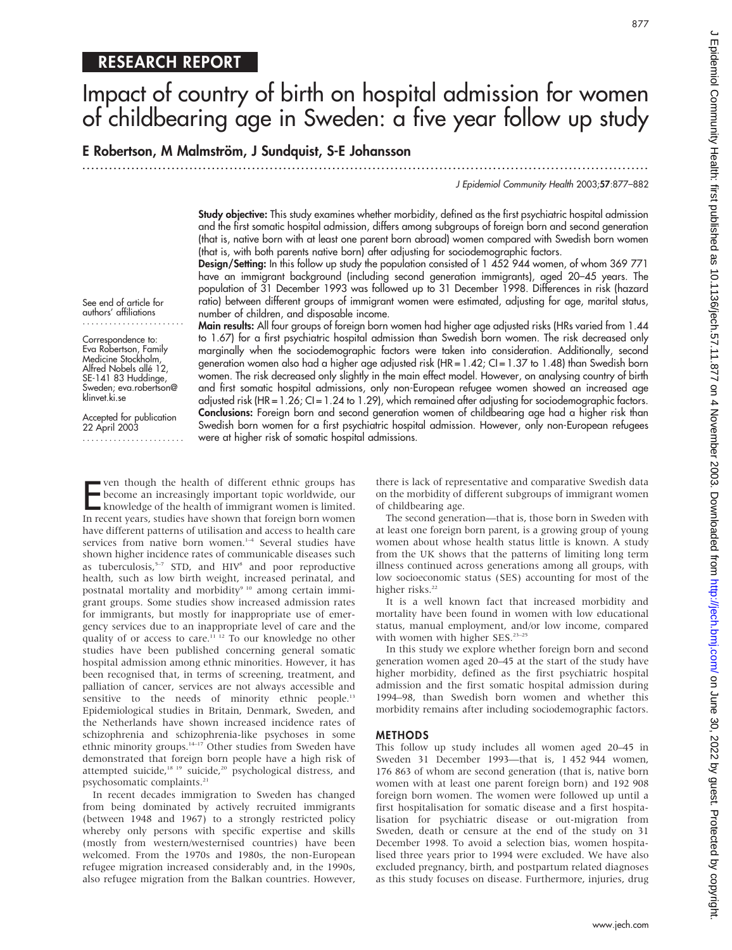## RESEARCH REPORT

# Impact of country of birth on hospital admission for women of childbearing age in Sweden: a five year follow up study

E Robertson, M Malmström, J Sundquist, S-E Johansson

.............................................................................................................................. .

J Epidemiol Community Health 2003;57:877–882

Study objective: This study examines whether morbidity, defined as the first psychiatric hospital admission and the first somatic hospital admission, differs among subgroups of foreign born and second generation (that is, native born with at least one parent born abroad) women compared with Swedish born women (that is, with both parents native born) after adjusting for sociodemographic factors.

Design/Setting: In this follow up study the population consisted of 1 452 944 women, of whom 369 771 have an immigrant background (including second generation immigrants), aged 20–45 years. The population of 31 December 1993 was followed up to 31 December 1998. Differences in risk (hazard ratio) between different groups of immigrant women were estimated, adjusting for age, marital status, number of children, and disposable income.

See end of article for authors' affiliations .......................

Correspondence to: Eva Robertson, Family Medicine Stockholm, Alfred Nobels allé 12, SE-141 83 Huddinge, Sweden; eva.robertson@ klinvet.ki.se

Accepted for publication 22 April 2003 ....................... Main results: All four groups of foreign born women had higher age adjusted risks (HRs varied from 1.44 to 1.67) for a first psychiatric hospital admission than Swedish born women. The risk decreased only marginally when the sociodemographic factors were taken into consideration. Additionally, second generation women also had a higher age adjusted risk (HR = 1.42; CI = 1.37 to 1.48) than Swedish born women. The risk decreased only slightly in the main effect model. However, on analysing country of birth and first somatic hospital admissions, only non-European refugee women showed an increased age adjusted risk (HR =  $1.26$ ; CI =  $1.24$  to  $1.29$ ), which remained after adjusting for sociodemographic factors. Conclusions: Foreign born and second generation women of childbearing age had a higher risk than Swedish born women for a first psychiatric hospital admission. However, only non-European refugees were at higher risk of somatic hospital admissions.

From though the health of different ethnic groups has<br>become an increasingly important topic worldwide, our<br>knowledge of the health of immigrant women is limited.<br>In recent years, studies have shown that foreign born women ven though the health of different ethnic groups has become an increasingly important topic worldwide, our knowledge of the health of immigrant women is limited. have different patterns of utilisation and access to health care services from native born women.<sup>1-4</sup> Several studies have shown higher incidence rates of communicable diseases such as tuberculosis, $5-7$  STD, and HIV<sup>8</sup> and poor reproductive health, such as low birth weight, increased perinatal, and postnatal mortality and morbidity<sup>9 10</sup> among certain immigrant groups. Some studies show increased admission rates for immigrants, but mostly for inappropriate use of emergency services due to an inappropriate level of care and the quality of or access to care.<sup>11 12</sup> To our knowledge no other studies have been published concerning general somatic hospital admission among ethnic minorities. However, it has been recognised that, in terms of screening, treatment, and palliation of cancer, services are not always accessible and sensitive to the needs of minority ethnic people.<sup>13</sup> Epidemiological studies in Britain, Denmark, Sweden, and the Netherlands have shown increased incidence rates of schizophrenia and schizophrenia-like psychoses in some ethnic minority groups.<sup>14-17</sup> Other studies from Sweden have demonstrated that foreign born people have a high risk of attempted suicide,<sup>18 19</sup> suicide,<sup>20</sup> psychological distress, and psychosomatic complaints.<sup>21</sup>

In recent decades immigration to Sweden has changed from being dominated by actively recruited immigrants (between 1948 and 1967) to a strongly restricted policy whereby only persons with specific expertise and skills (mostly from western/westernised countries) have been welcomed. From the 1970s and 1980s, the non-European refugee migration increased considerably and, in the 1990s, also refugee migration from the Balkan countries. However,

there is lack of representative and comparative Swedish data on the morbidity of different subgroups of immigrant women of childbearing age.

The second generation—that is, those born in Sweden with at least one foreign born parent, is a growing group of young women about whose health status little is known. A study from the UK shows that the patterns of limiting long term illness continued across generations among all groups, with low socioeconomic status (SES) accounting for most of the higher risks.<sup>22</sup>

It is a well known fact that increased morbidity and mortality have been found in women with low educational status, manual employment, and/or low income, compared with women with higher SES.<sup>23-25</sup>

In this study we explore whether foreign born and second generation women aged 20–45 at the start of the study have higher morbidity, defined as the first psychiatric hospital admission and the first somatic hospital admission during 1994–98, than Swedish born women and whether this morbidity remains after including sociodemographic factors.

#### METHODS

This follow up study includes all women aged 20–45 in Sweden 31 December 1993—that is, 1 452 944 women, 176 863 of whom are second generation (that is, native born women with at least one parent foreign born) and 192 908 foreign born women. The women were followed up until a first hospitalisation for somatic disease and a first hospitalisation for psychiatric disease or out-migration from Sweden, death or censure at the end of the study on 31 December 1998. To avoid a selection bias, women hospitalised three years prior to 1994 were excluded. We have also excluded pregnancy, birth, and postpartum related diagnoses as this study focuses on disease. Furthermore, injuries, drug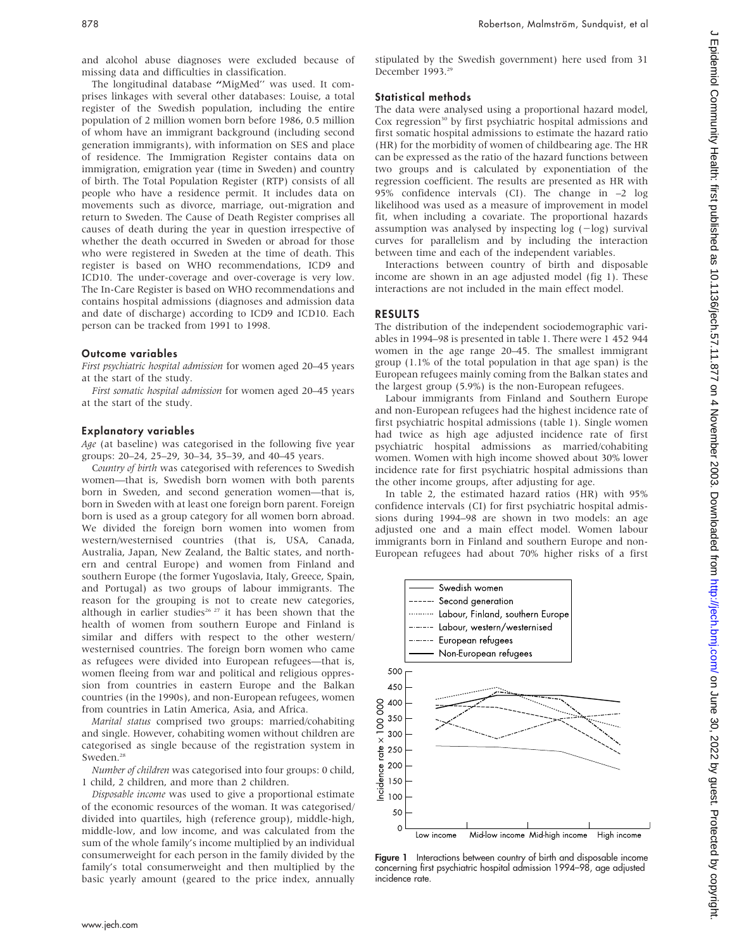and alcohol abuse diagnoses were excluded because of missing data and difficulties in classification.

The longitudinal database "MigMed" was used. It comprises linkages with several other databases: Louise, a total register of the Swedish population, including the entire population of 2 million women born before 1986, 0.5 million of whom have an immigrant background (including second generation immigrants), with information on SES and place of residence. The Immigration Register contains data on immigration, emigration year (time in Sweden) and country of birth. The Total Population Register (RTP) consists of all people who have a residence permit. It includes data on movements such as divorce, marriage, out-migration and return to Sweden. The Cause of Death Register comprises all causes of death during the year in question irrespective of whether the death occurred in Sweden or abroad for those who were registered in Sweden at the time of death. This register is based on WHO recommendations, ICD9 and ICD10. The under-coverage and over-coverage is very low. The In-Care Register is based on WHO recommendations and contains hospital admissions (diagnoses and admission data and date of discharge) according to ICD9 and ICD10. Each person can be tracked from 1991 to 1998.

## Outcome variables

First psychiatric hospital admission for women aged 20–45 years at the start of the study.

First somatic hospital admission for women aged 20–45 years at the start of the study.

## Explanatory variables

Age (at baseline) was categorised in the following five year groups: 20–24, 25–29, 30–34, 35–39, and 40–45 years.

Country of birth was categorised with references to Swedish women—that is, Swedish born women with both parents born in Sweden, and second generation women—that is, born in Sweden with at least one foreign born parent. Foreign born is used as a group category for all women born abroad. We divided the foreign born women into women from western/westernised countries (that is, USA, Canada, Australia, Japan, New Zealand, the Baltic states, and northern and central Europe) and women from Finland and southern Europe (the former Yugoslavia, Italy, Greece, Spain, and Portugal) as two groups of labour immigrants. The reason for the grouping is not to create new categories, although in earlier studies<sup>26 27</sup> it has been shown that the health of women from southern Europe and Finland is similar and differs with respect to the other western/ westernised countries. The foreign born women who came as refugees were divided into European refugees—that is, women fleeing from war and political and religious oppression from countries in eastern Europe and the Balkan countries (in the 1990s), and non-European refugees, women from countries in Latin America, Asia, and Africa.

Marital status comprised two groups: married/cohabiting and single. However, cohabiting women without children are categorised as single because of the registration system in Sweden<sup>28</sup>

Number of children was categorised into four groups: 0 child, 1 child, 2 children, and more than 2 children.

Disposable income was used to give a proportional estimate of the economic resources of the woman. It was categorised/ divided into quartiles, high (reference group), middle-high, middle-low, and low income, and was calculated from the sum of the whole family's income multiplied by an individual consumerweight for each person in the family divided by the family's total consumerweight and then multiplied by the basic yearly amount (geared to the price index, annually

## Statistical methods

The data were analysed using a proportional hazard model, Cox regression<sup>30</sup> by first psychiatric hospital admissions and first somatic hospital admissions to estimate the hazard ratio (HR) for the morbidity of women of childbearing age. The HR can be expressed as the ratio of the hazard functions between two groups and is calculated by exponentiation of the regression coefficient. The results are presented as HR with 95% confidence intervals (CI). The change in –2 log likelihood was used as a measure of improvement in model fit, when including a covariate. The proportional hazards assumption was analysed by inspecting log  $(-log)$  survival curves for parallelism and by including the interaction between time and each of the independent variables.

Interactions between country of birth and disposable income are shown in an age adjusted model (fig 1). These interactions are not included in the main effect model.

## RESULTS

The distribution of the independent sociodemographic variables in 1994–98 is presented in table 1. There were 1 452 944 women in the age range 20–45. The smallest immigrant group (1.1% of the total population in that age span) is the European refugees mainly coming from the Balkan states and the largest group (5.9%) is the non-European refugees.

Labour immigrants from Finland and Southern Europe and non-European refugees had the highest incidence rate of first psychiatric hospital admissions (table 1). Single women had twice as high age adjusted incidence rate of first psychiatric hospital admissions as married/cohabiting women. Women with high income showed about 30% lower incidence rate for first psychiatric hospital admissions than the other income groups, after adjusting for age.

In table 2, the estimated hazard ratios (HR) with 95% confidence intervals (CI) for first psychiatric hospital admissions during 1994–98 are shown in two models: an age adjusted one and a main effect model. Women labour immigrants born in Finland and southern Europe and non-European refugees had about 70% higher risks of a first



Figure 1 Interactions between country of birth and disposable income concerning first psychiatric hospital admission 1994–98, age adjusted incidence rate.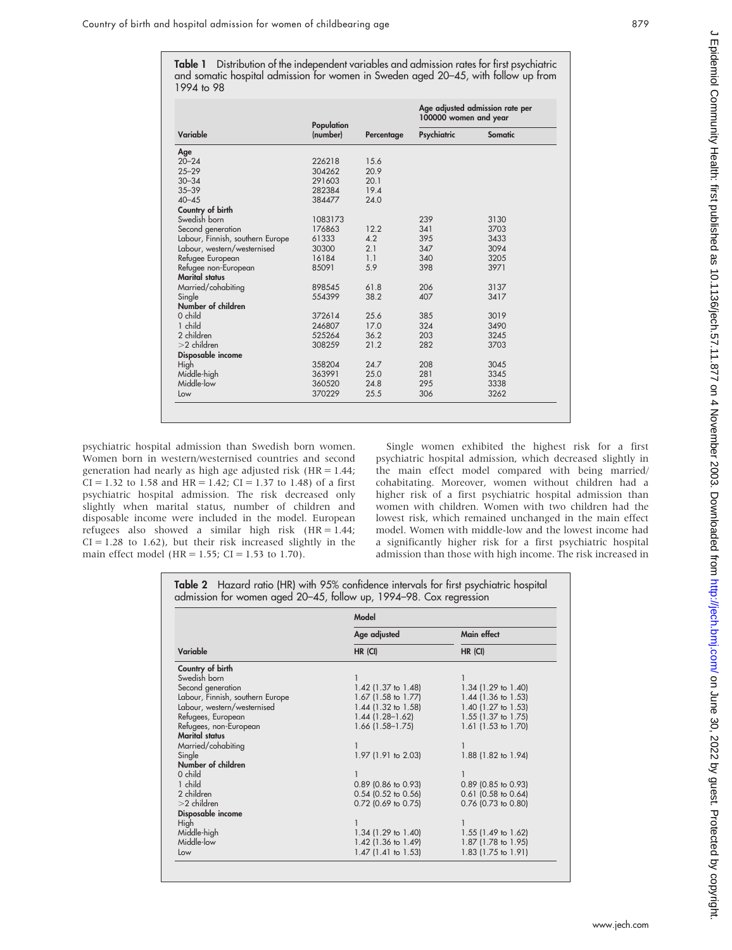Table 1 Distribution of the independent variables and admission rates for first psychiatric and somatic hospital admission for women in Sweden aged 20–45, with follow up from 1994 to 98

| Variable                         | Population<br>(number) |                | Age adjusted admission rate per<br>100000 women and year |         |
|----------------------------------|------------------------|----------------|----------------------------------------------------------|---------|
|                                  |                        | Percentage     | Psychiatric                                              | Somatic |
| Age                              |                        |                |                                                          |         |
| $20 - 24$                        | 226218                 | 15.6           |                                                          |         |
| $25 - 29$                        | 304262                 | 20.9           |                                                          |         |
| $30 - 34$                        | 291603                 | 20.1           |                                                          |         |
| $35 - 39$                        | 282384                 | 19.4           |                                                          |         |
| $40 - 45$                        | 384477                 | 24.0           |                                                          |         |
| Country of birth                 |                        |                |                                                          |         |
| Swedish born                     | 1083173                |                | 239                                                      | 3130    |
| Second generation                | 176863                 | 12.2           | 341                                                      | 3703    |
| Labour, Finnish, southern Europe | 61333                  | 4.2            | 395                                                      | 3433    |
| Labour, western/westernised      | 30300                  | 2.1            | 347                                                      | 3094    |
| Refugee European                 | 16184                  | 1 <sub>1</sub> | 340                                                      | 3205    |
| Refugee non-European             | 85091                  | 5.9            | 398                                                      | 3971    |
| <b>Marital status</b>            |                        |                |                                                          |         |
| Married/cohabiting               | 898545                 | 61.8           | 206                                                      | 3137    |
| Single                           | 554399                 | 38.2           | 407                                                      | 3417    |
| Number of children               |                        |                |                                                          |         |
| $0$ child                        | 372614                 | 25.6           | 385                                                      | 3019    |
| 1 child                          | 246807                 | 170            | 324                                                      | 3490    |
| 2 children                       | 525264                 | 36.2           | 203                                                      | 3245    |
| $>2$ children                    | 308259                 | 21.2           | 282                                                      | 3703    |
| Disposable income                |                        |                |                                                          |         |
| High                             | 358204                 | 24.7           | 208                                                      | 3045    |
| Middle-high                      | 363991                 | 25.0           | 281                                                      | 3345    |
| Middle-low                       | 360520                 | 24.8           | 295                                                      | 3338    |
| Low                              | 370229                 | 25.5           | 306                                                      | 3262    |

psychiatric hospital admission than Swedish born women. Women born in western/westernised countries and second generation had nearly as high age adjusted risk (HR = 1.44;  $CI = 1.32$  to 1.58 and  $HR = 1.42$ ;  $CI = 1.37$  to 1.48) of a first psychiatric hospital admission. The risk decreased only slightly when marital status, number of children and disposable income were included in the model. European refugees also showed a similar high risk (HR = 1.44;  $CI = 1.28$  to 1.62), but their risk increased slightly in the main effect model (HR = 1.55; CI = 1.53 to 1.70).

Single women exhibited the highest risk for a first psychiatric hospital admission, which decreased slightly in the main effect model compared with being married/ cohabitating. Moreover, women without children had a higher risk of a first psychiatric hospital admission than women with children. Women with two children had the lowest risk, which remained unchanged in the main effect model. Women with middle-low and the lowest income had a significantly higher risk for a first psychiatric hospital admission than those with high income. The risk increased in

Table 2 Hazard ratio (HR) with 95% confidence intervals for first psychiatric hospital admission for women aged 20–45, follow up, 1994–98. Cox regression

|                                  | Model                 |                        |  |
|----------------------------------|-----------------------|------------------------|--|
|                                  | Age adjusted          | Main effect<br>HR (CI) |  |
| Variable                         | HR (CI)               |                        |  |
| Country of birth                 |                       |                        |  |
| Swedish born                     |                       |                        |  |
| Second generation                | $1.42$ (1.37 to 1.48) | 1.34 (1.29 to 1.40)    |  |
| Labour, Finnish, southern Europe | $1.67$ (1.58 to 1.77) | 1.44 (1.36 to 1.53)    |  |
| Labour, western/westernised      | $1.44$ (1.32 to 1.58) | 1.40 (1.27 to 1.53)    |  |
| Refugees, European               | $1.44(1.28 - 1.62)$   | 1.55 (1.37 to 1.75)    |  |
| Refugees, non-European           | $1.66$ (1.58-1.75)    | 1.61 (1.53 to 1.70)    |  |
| <b>Marital status</b>            |                       |                        |  |
| Married/cohabiting               |                       |                        |  |
| Single                           | 1.97 (1.91 to 2.03)   | 1.88 (1.82 to 1.94)    |  |
| Number of children               |                       |                        |  |
| 0 child                          |                       |                        |  |
| 1 child                          | $0.89$ (0.86 to 0.93) | $0.89$ (0.85 to 0.93)  |  |
| 2 children                       | $0.54$ (0.52 to 0.56) | $0.61$ (0.58 to 0.64)  |  |
| $>2$ children                    | $0.72$ (0.69 to 0.75) | $0.76$ (0.73 to 0.80)  |  |
| Disposable income                |                       |                        |  |
| High                             |                       |                        |  |
| Middle-high                      | $1.34$ (1.29 to 1.40) | $1.55$ (1.49 to 1.62)  |  |
| Middle-low                       | $1.42$ (1.36 to 1.49) | 1.87 (1.78 to 1.95)    |  |
| Low                              | $1.47$ (1.41 to 1.53) | 1.83 (1.75 to 1.91)    |  |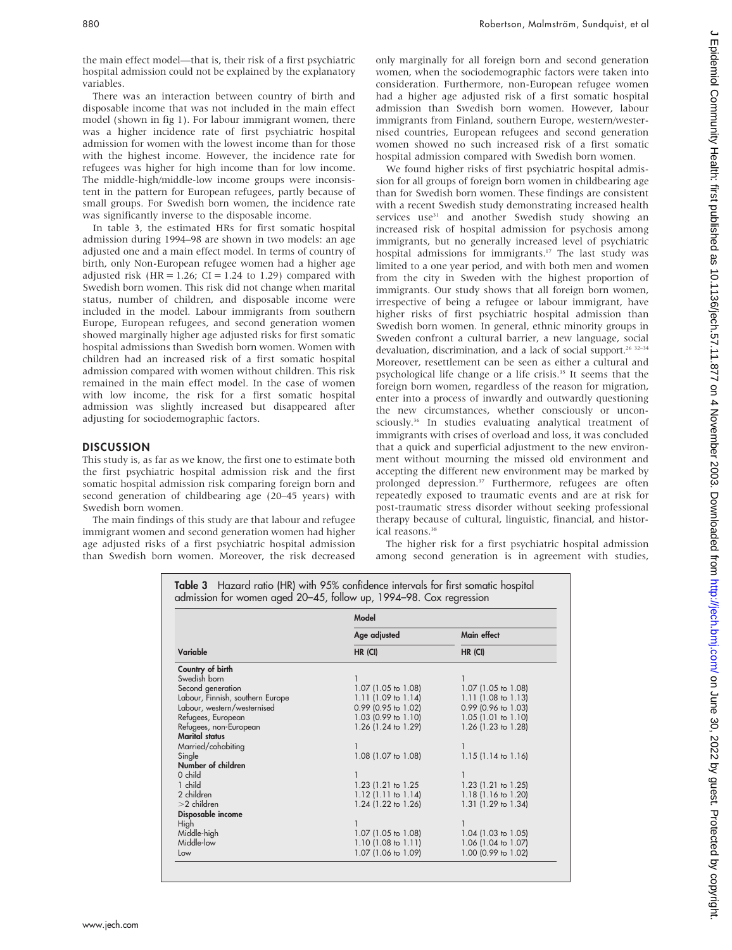the main effect model—that is, their risk of a first psychiatric hospital admission could not be explained by the explanatory variables.

There was an interaction between country of birth and disposable income that was not included in the main effect model (shown in fig 1). For labour immigrant women, there was a higher incidence rate of first psychiatric hospital admission for women with the lowest income than for those with the highest income. However, the incidence rate for refugees was higher for high income than for low income. The middle-high/middle-low income groups were inconsistent in the pattern for European refugees, partly because of small groups. For Swedish born women, the incidence rate was significantly inverse to the disposable income.

In table 3, the estimated HRs for first somatic hospital admission during 1994–98 are shown in two models: an age adjusted one and a main effect model. In terms of country of birth, only Non-European refugee women had a higher age adjusted risk (HR =  $1.26$ ; CI =  $1.24$  to 1.29) compared with Swedish born women. This risk did not change when marital status, number of children, and disposable income were included in the model. Labour immigrants from southern Europe, European refugees, and second generation women showed marginally higher age adjusted risks for first somatic hospital admissions than Swedish born women. Women with children had an increased risk of a first somatic hospital admission compared with women without children. This risk remained in the main effect model. In the case of women with low income, the risk for a first somatic hospital admission was slightly increased but disappeared after adjusting for sociodemographic factors.

#### **DISCUSSION**

This study is, as far as we know, the first one to estimate both the first psychiatric hospital admission risk and the first somatic hospital admission risk comparing foreign born and second generation of childbearing age (20–45 years) with Swedish born women.

The main findings of this study are that labour and refugee immigrant women and second generation women had higher age adjusted risks of a first psychiatric hospital admission than Swedish born women. Moreover, the risk decreased only marginally for all foreign born and second generation women, when the sociodemographic factors were taken into consideration. Furthermore, non-European refugee women had a higher age adjusted risk of a first somatic hospital admission than Swedish born women. However, labour immigrants from Finland, southern Europe, western/westernised countries, European refugees and second generation women showed no such increased risk of a first somatic hospital admission compared with Swedish born women.

We found higher risks of first psychiatric hospital admission for all groups of foreign born women in childbearing age than for Swedish born women. These findings are consistent with a recent Swedish study demonstrating increased health services use<sup>31</sup> and another Swedish study showing an increased risk of hospital admission for psychosis among immigrants, but no generally increased level of psychiatric hospital admissions for immigrants.<sup>17</sup> The last study was limited to a one year period, and with both men and women from the city in Sweden with the highest proportion of immigrants. Our study shows that all foreign born women, irrespective of being a refugee or labour immigrant, have higher risks of first psychiatric hospital admission than Swedish born women. In general, ethnic minority groups in Sweden confront a cultural barrier, a new language, social devaluation, discrimination, and a lack of social support.<sup>26</sup> 32-34 Moreover, resettlement can be seen as either a cultural and psychological life change or a life crisis.<sup>35</sup> It seems that the foreign born women, regardless of the reason for migration, enter into a process of inwardly and outwardly questioning the new circumstances, whether consciously or unconsciously.<sup>36</sup> In studies evaluating analytical treatment of immigrants with crises of overload and loss, it was concluded that a quick and superficial adjustment to the new environment without mourning the missed old environment and accepting the different new environment may be marked by prolonged depression.<sup>37</sup> Furthermore, refugees are often repeatedly exposed to traumatic events and are at risk for post-traumatic stress disorder without seeking professional therapy because of cultural, linguistic, financial, and historical reasons.<sup>38</sup>

The higher risk for a first psychiatric hospital admission among second generation is in agreement with studies,

|                                  | Model                 |                               |  |  |
|----------------------------------|-----------------------|-------------------------------|--|--|
|                                  | Age adjusted          | Main effect                   |  |  |
| Variable                         | HR (CI)               | HR (CI)                       |  |  |
| Country of birth                 |                       |                               |  |  |
| Swedish born                     |                       |                               |  |  |
| Second generation                | 1.07 (1.05 to 1.08)   | 1.07 (1.05 to 1.08)           |  |  |
| Labour, Finnish, southern Europe | $1.11$ (1.09 to 1.14) | $1.11$ (1.08 to 1.13)         |  |  |
| Labour, western/westernised      | 0.99 (0.95 to 1.02)   | $0.99$ (0.96 to 1.03)         |  |  |
| Refugees, European               | $1.03$ (0.99 to 1.10) | $1.05$ (1.01 to 1.10)         |  |  |
| Refugees, non-European           | 1.26 (1.24 to 1.29)   | $1.26$ (1.23 to 1.28)         |  |  |
| <b>Marital status</b>            |                       |                               |  |  |
| Married/cohabiting               |                       |                               |  |  |
| Single                           | 1.08 (1.07 to 1.08)   | $1.15(1.14 \text{ to } 1.16)$ |  |  |
| Number of children               |                       |                               |  |  |
| 0 child                          |                       |                               |  |  |
| 1 child                          | 1.23 (1.21 to 1.25)   | $1.23$ (1.21 to 1.25)         |  |  |
| 2 children                       | $1.12$ (1.11 to 1.14) | $1.18$ (1.16 to 1.20)         |  |  |
| $>2$ children                    | 1.24 (1.22 to 1.26)   | 1.31 (1.29 to 1.34)           |  |  |
| Disposable income                |                       |                               |  |  |
| High                             |                       |                               |  |  |
| Middle-high                      | $1.07$ (1.05 to 1.08) | $1.04$ (1.03 to 1.05)         |  |  |
| Middle-low                       | $1.10$ (1.08 to 1.11) | 1.06 (1.04 to 1.07)           |  |  |
| Low                              | 1.07 (1.06 to 1.09)   | 1.00 (0.99 to 1.02)           |  |  |

Table 3 Hazard ratio (HR) with 95% confidence intervals for first somatic hospital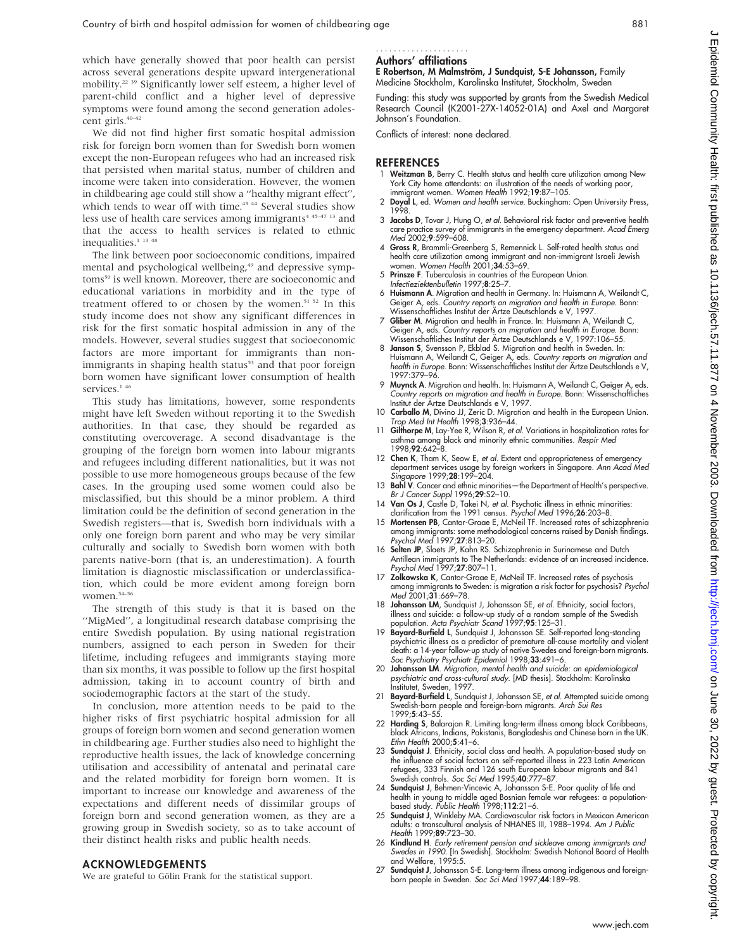which have generally showed that poor health can persist across several generations despite upward intergenerational mobility.22 39 Significantly lower self esteem, a higher level of parent-child conflict and a higher level of depressive symptoms were found among the second generation adolescent girls.<sup>40–42</sup>

We did not find higher first somatic hospital admission risk for foreign born women than for Swedish born women except the non-European refugees who had an increased risk that persisted when marital status, number of children and income were taken into consideration. However, the women in childbearing age could still show a ''healthy migrant effect'', which tends to wear off with time.<sup>43 44</sup> Several studies show less use of health care services among immigrants<sup> $4.45-47.13$ </sup> and that the access to health services is related to ethnic inequalities.<sup>1</sup> <sup>13</sup> <sup>48</sup>

The link between poor socioeconomic conditions, impaired mental and psychological wellbeing,<sup>49</sup> and depressive symptoms<sup>50</sup> is well known. Moreover, there are socioeconomic and educational variations in morbidity and in the type of treatment offered to or chosen by the women.<sup>51 52</sup> In this study income does not show any significant differences in risk for the first somatic hospital admission in any of the models. However, several studies suggest that socioeconomic factors are more important for immigrants than nonimmigrants in shaping health status<sup>53</sup> and that poor foreign born women have significant lower consumption of health services.<sup>146</sup>

This study has limitations, however, some respondents might have left Sweden without reporting it to the Swedish authorities. In that case, they should be regarded as constituting overcoverage. A second disadvantage is the grouping of the foreign born women into labour migrants and refugees including different nationalities, but it was not possible to use more homogeneous groups because of the few cases. In the grouping used some women could also be misclassified, but this should be a minor problem. A third limitation could be the definition of second generation in the Swedish registers—that is, Swedish born individuals with a only one foreign born parent and who may be very similar culturally and socially to Swedish born women with both parents native-born (that is, an underestimation). A fourth limitation is diagnostic misclassification or underclassification, which could be more evident among foreign born women.<sup>54–56</sup>

The strength of this study is that it is based on the ''MigMed'', a longitudinal research database comprising the entire Swedish population. By using national registration numbers, assigned to each person in Sweden for their lifetime, including refugees and immigrants staying more than six months, it was possible to follow up the first hospital admission, taking in to account country of birth and sociodemographic factors at the start of the study.

In conclusion, more attention needs to be paid to the higher risks of first psychiatric hospital admission for all groups of foreign born women and second generation women in childbearing age. Further studies also need to highlight the reproductive health issues, the lack of knowledge concerning utilisation and accessibility of antenatal and perinatal care and the related morbidity for foreign born women. It is important to increase our knowledge and awareness of the expectations and different needs of dissimilar groups of foreign born and second generation women, as they are a growing group in Swedish society, so as to take account of their distinct health risks and public health needs.

#### ACKNOWLEDGEMENTS

We are grateful to Gölin Frank for the statistical support.

#### Authors' affiliations .....................

E Robertson, M Malmström, J Sundquist, S-E Johansson, Family Medicine Stockholm, Karolinska Institutet, Stockholm, Sweden

Funding: this study was supported by grants from the Swedish Medical Research Council (K2001-27X-14052-01A) and Axel and Margaret Johnson's Foundation.

Conflicts of interest: none declared.

#### **REFERENCES**

- Weitzman B, Berry C. Health status and health care utilization among New York City home attendants: an illustration of the needs of working poor, immigrant women. Women Health 1992;19:87–105.
- 2 Doyal L, ed. Women and health service. Buckingham: Open University Press, 1998.
- 3 Jacobs D, Tovar J, Hung O, et al. Behavioral risk factor and preventive health care practice survey of immigrants in the emergency department. Acad Emerg Med 2002;9:599–608.
- 4 Gross R, Brammli-Greenberg S, Remennick L. Self-rated health status and health care utilization among immigrant and non-immigrant Israeli Jewish women. *Women Health* 2001:**34**:53–69.
- 5 Prinsze F. Tuberculosis in countries of the European Union.
- Infectieziektenbulletin 1997;8:25–7.
- 6 Huismann A. Migration and health in Germany. In: Huismann A, Weilandt C, Geiger A, eds. Country reports on migration and health in Europe. Bonn: Wissenschaftliches Institut der Ärtze Deutschlands e V, 1997
- 7 Gliber M. Migration and health in France. In: Huismann A, Weilandt C, Geiger A, eds. *Country reports on migration and health in Europe.* Bonn:<br>Wissenschaftliches Institut der Ärtze Deutschlands e V, 1997:106–55.
- 8 Janson S, Svensson P, Ekblad S. Migration and health in Sweden. In: Huismann A, Weilandt C, Geiger A, eds. Country reports on migration and health in Europe. Bonn: Wissenschaftliches Institut der Ärtze Deutschlands e V, 1997:379–96.
- 9 Muynck A. Migration and health. In: Huismann A, Weilandt C, Geiger A, eds. Country reports on migration and health in Europe. Bonn: Wissenschattliches<br>Institut der Ärtze Deutschlands e V, 1997.
- 10 Carballo M, Divino JJ, Zeric D. Migration and health in the European Union. Trop Med Int Health 1998;3:936–44.
- Gilthorpe M, Lay-Yee R, Wilson R, et al. Variations in hospitalization rates for asthma among black and minority ethnic communities. Respir Med 1998;92:642–8.
- 12 Chen K, Tham K, Seow E, et al. Extent and appropriateness of emergency department services usage by foreign workers in Singapore. Ann Acad Med Singapore 1999;28:199–204.
- 13 Bahl V. Cancer and ethnic minorities—the Department of Health's perspective.
- Br J Cancer Suppl 1996;**29**:S2–10.<br>14 **Van Os J**, Castle D, Takei N, *et al.* Psychotic illness in ethnic minorities: clarification from the 1991 census. Psychol Med 1996;26:203–8.
- 15 Mortensen PB, Cantor-Graae E, McNeil TF. Increased rates of schizophrenia among immigrants: some methodological concerns raised by Danish findings. Psychol Med 1997;27:813–20.
- 16 Selten JP, Slaets JP, Kahn RS. Schizophrenia in Surinamese and Dutch Antillean immigrants to The Netherlands: evidence of an increased incidence. Psychol Med 1997;27:807–11.
- 17 Zolkowska K, Cantor-Graae E, McNeil TF. Increased rates of psychosis among immigrants to Sweden: is migration a risk factor for psychosis? Psychol Med 2001;31:669-78.
- 18 Johansson LM, Sundquist J, Johansson SE, et al. Ethnicity, social factors illness and suicide: a follow-up study of a random sample of the Swedish population. Acta Psychiatr Scand 1997;95:125-31.
- 19 Bayard-Burfield L, Sundquist J, Johansson SE. Self-reported long-standing psychiatric illness as a predictor of premature all-cause mortality and violent death: a 14-year follow-up study of native Swedes and foreign-born migrants. Soc Psychiatry Psychiatr Epidemiol 1998;33:491-6.
- 20 Johansson LM. Migration, mental health and suicide: an epidemiological psychiatric and cross-cultural study. [MD thesis]. Stockholm: Karolinska Institutet, Sweden, 1997.
- Bayard-Burfield L, Sundquist J, Johansson SE, et al. Attempted suicide among Swedish-born people and foreign-born migrants. Arch Sui Res 1999;5:43–55.
- 22 Harding S, Balarajan R. Limiting long-term illness among black Caribbeans, black Africans, Indians, Pakistanis, Bangladeshis and Chinese born in the UK. Ethn Health 2000;5:41–6.
- 23 Sundquist J. Ethnicity, social class and health. A population-based study on the influence of social factors on self-reported illness in 223 Latin American refugees, 333 Finnish and 126 south European labour migrants and 841 Swedish controls. Soc Sci Med 1995;40:777–87.
- 24 Sundquist J, Behmen-Vincevic A, Johansson S-E. Poor quality of life and health in young to middle aged Bosnian female war refugees: a population-based study. Public Health 1998;112:21–6.
- 25 Sundquist J, Winkleby MA. Cardiovascular risk factors in Mexican American adults: a transcultural analysis of NHANES III, 1988–1994. *Am J Public*<br>*Health* 1999;**89**:723–30.
- 26 Kindlund H. Early retirement pension and sickleave among immigrants and Swedes in 1990. [In Swedish]. Stockholm: Swedish National Board of Health and Welfare, 1995:5.
- 27 Sundquist J, Johansson S-E. Long-term illness among indigenous and foreignborn people in Sweden. Soc Sci Med 1997;44:189–98.

 $\subset$